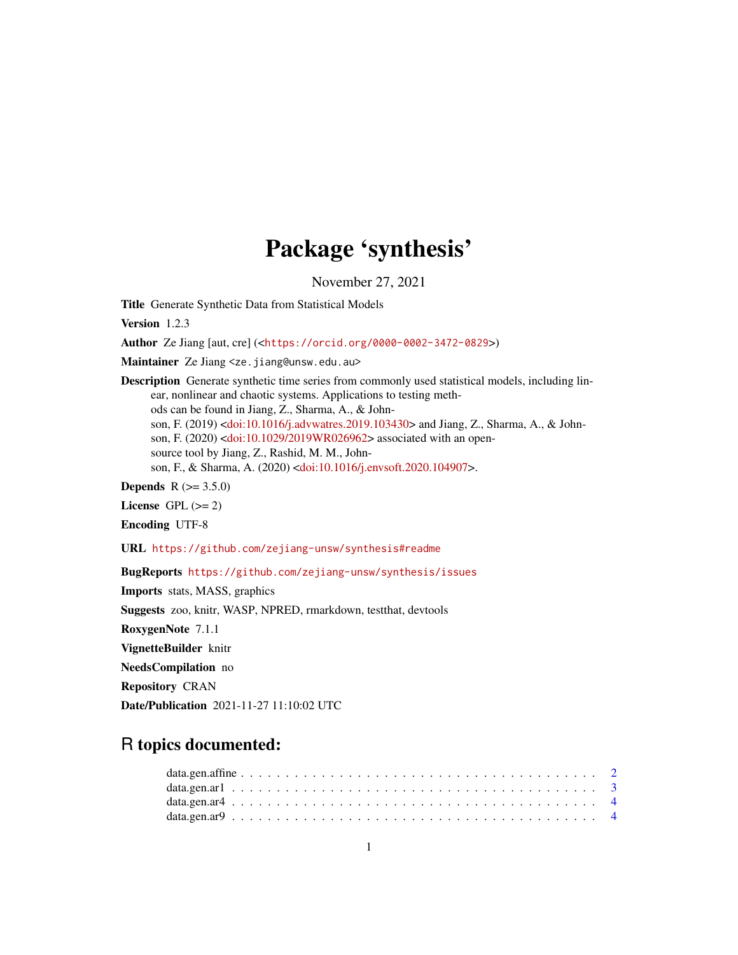# Package 'synthesis'

November 27, 2021

Title Generate Synthetic Data from Statistical Models

Version 1.2.3

Author Ze Jiang [aut, cre] (<<https://orcid.org/0000-0002-3472-0829>>)

Maintainer Ze Jiang <ze.jiang@unsw.edu.au>

Description Generate synthetic time series from commonly used statistical models, including linear, nonlinear and chaotic systems. Applications to testing methods can be found in Jiang, Z., Sharma, A., & Johnson, F. (2019) [<doi:10.1016/j.advwatres.2019.103430>](https://doi.org/10.1016/j.advwatres.2019.103430) and Jiang, Z., Sharma, A., & Johnson, F. (2020) [<doi:10.1029/2019WR026962>](https://doi.org/10.1029/2019WR026962) associated with an opensource tool by Jiang, Z., Rashid, M. M., Johnson, F., & Sharma, A. (2020) [<doi:10.1016/j.envsoft.2020.104907>](https://doi.org/10.1016/j.envsoft.2020.104907).

**Depends**  $R (= 3.5.0)$ 

License GPL  $(>= 2)$ 

Encoding UTF-8

URL <https://github.com/zejiang-unsw/synthesis#readme>

BugReports <https://github.com/zejiang-unsw/synthesis/issues>

Imports stats, MASS, graphics Suggests zoo, knitr, WASP, NPRED, rmarkdown, testthat, devtools RoxygenNote 7.1.1 VignetteBuilder knitr NeedsCompilation no Repository CRAN Date/Publication 2021-11-27 11:10:02 UTC

# R topics documented: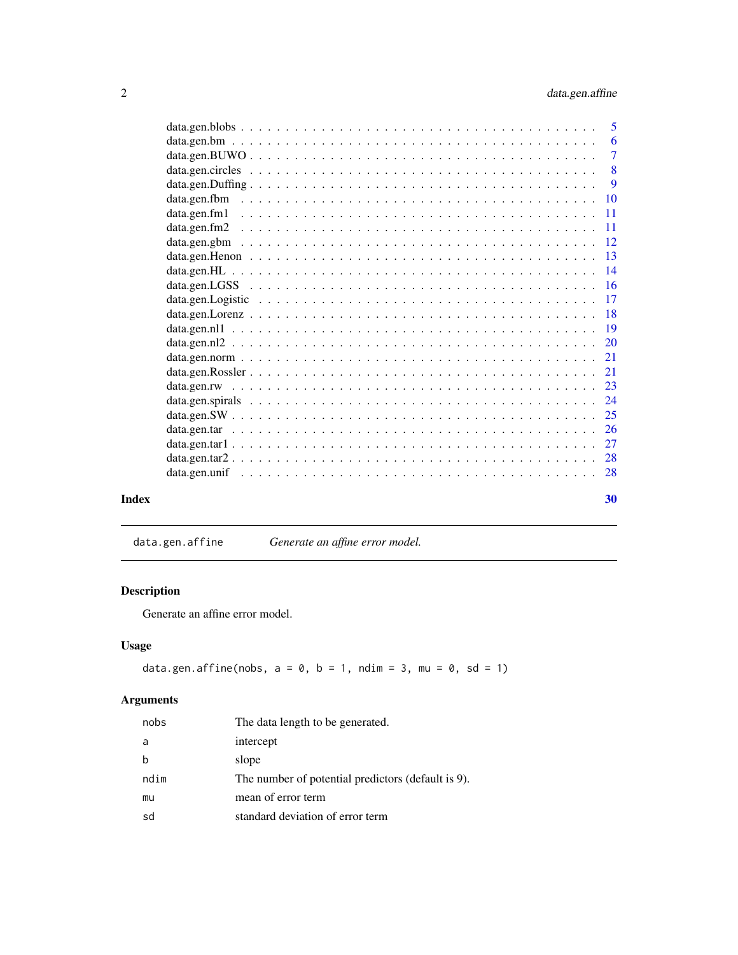<span id="page-1-0"></span>

|       | -6 |
|-------|----|
|       |    |
|       |    |
|       |    |
|       |    |
|       |    |
|       |    |
|       |    |
|       |    |
|       |    |
|       |    |
|       |    |
|       |    |
|       |    |
|       |    |
|       |    |
|       |    |
|       |    |
|       |    |
|       |    |
|       |    |
|       |    |
|       |    |
|       |    |
|       |    |
| Index | 30 |

data.gen.affine *Generate an affine error model.*

# Description

Generate an affine error model.

# Usage

data.gen.affine(nobs,  $a = 0$ ,  $b = 1$ , ndim = 3, mu = 0, sd = 1)

| nobs | The data length to be generated.                   |
|------|----------------------------------------------------|
| a    | intercept                                          |
| b    | slope                                              |
| ndim | The number of potential predictors (default is 9). |
| mu   | mean of error term                                 |
| sd   | standard deviation of error term                   |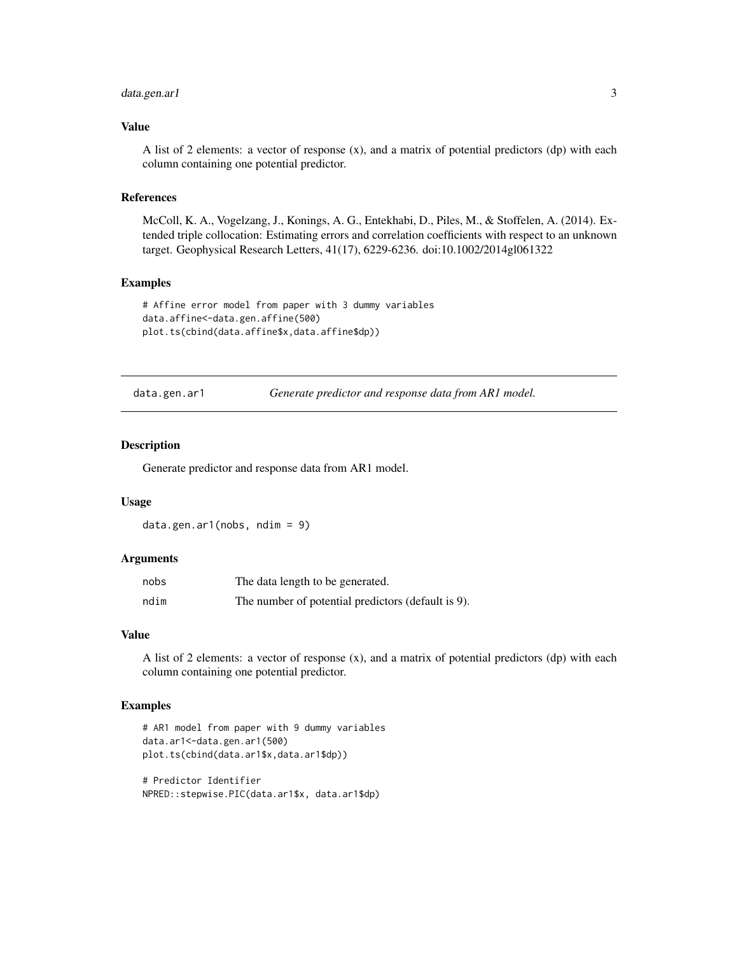# <span id="page-2-0"></span>data.gen.ar1 3

#### Value

A list of 2 elements: a vector of response (x), and a matrix of potential predictors (dp) with each column containing one potential predictor.

# References

McColl, K. A., Vogelzang, J., Konings, A. G., Entekhabi, D., Piles, M., & Stoffelen, A. (2014). Extended triple collocation: Estimating errors and correlation coefficients with respect to an unknown target. Geophysical Research Letters, 41(17), 6229-6236. doi:10.1002/2014gl061322

#### Examples

```
# Affine error model from paper with 3 dummy variables
data.affine<-data.gen.affine(500)
plot.ts(cbind(data.affine$x,data.affine$dp))
```
data.gen.ar1 *Generate predictor and response data from AR1 model.*

#### Description

Generate predictor and response data from AR1 model.

#### Usage

data.gen.ar1(nobs, ndim = 9)

#### Arguments

| nobs | The data length to be generated.                   |
|------|----------------------------------------------------|
| ndim | The number of potential predictors (default is 9). |

#### Value

A list of 2 elements: a vector of response (x), and a matrix of potential predictors (dp) with each column containing one potential predictor.

```
# AR1 model from paper with 9 dummy variables
data.ar1<-data.gen.ar1(500)
plot.ts(cbind(data.ar1$x,data.ar1$dp))
# Predictor Identifier
```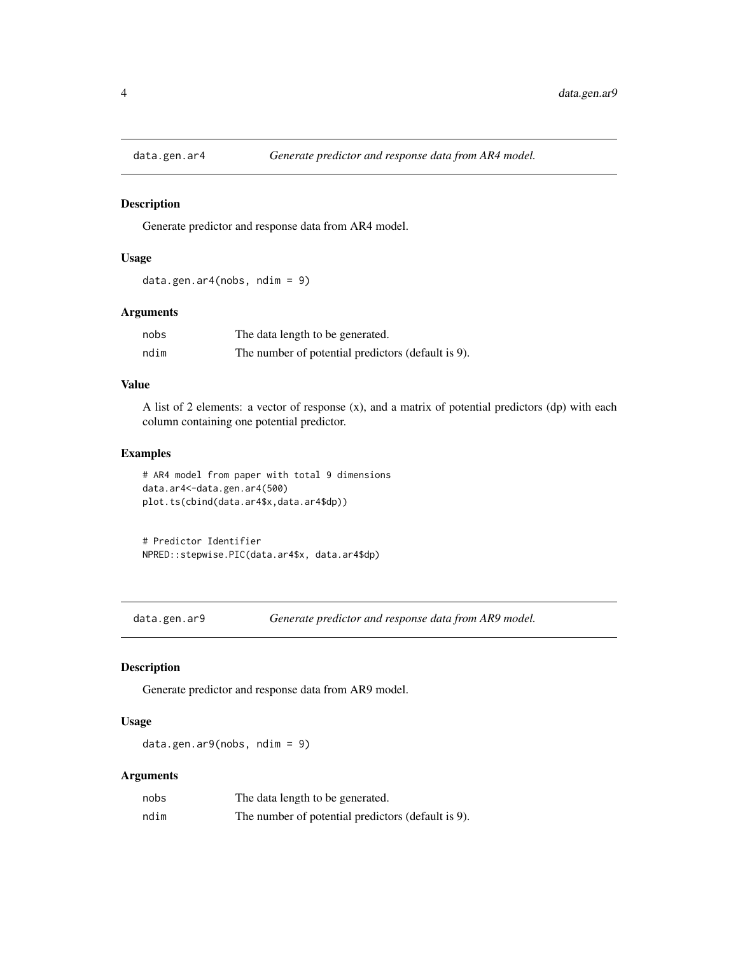<span id="page-3-0"></span>

Generate predictor and response data from AR4 model.

# Usage

```
data.gen.ar4(nobs, ndim = 9)
```
# Arguments

| nobs | The data length to be generated.                   |
|------|----------------------------------------------------|
| ndim | The number of potential predictors (default is 9). |

# Value

A list of 2 elements: a vector of response (x), and a matrix of potential predictors (dp) with each column containing one potential predictor.

# Examples

```
# AR4 model from paper with total 9 dimensions
data.ar4<-data.gen.ar4(500)
plot.ts(cbind(data.ar4$x,data.ar4$dp))
```
# Predictor Identifier NPRED::stepwise.PIC(data.ar4\$x, data.ar4\$dp)

data.gen.ar9 *Generate predictor and response data from AR9 model.*

# Description

Generate predictor and response data from AR9 model.

#### Usage

data.gen.ar9(nobs, ndim = 9)

| nobs | The data length to be generated.                   |
|------|----------------------------------------------------|
| ndim | The number of potential predictors (default is 9). |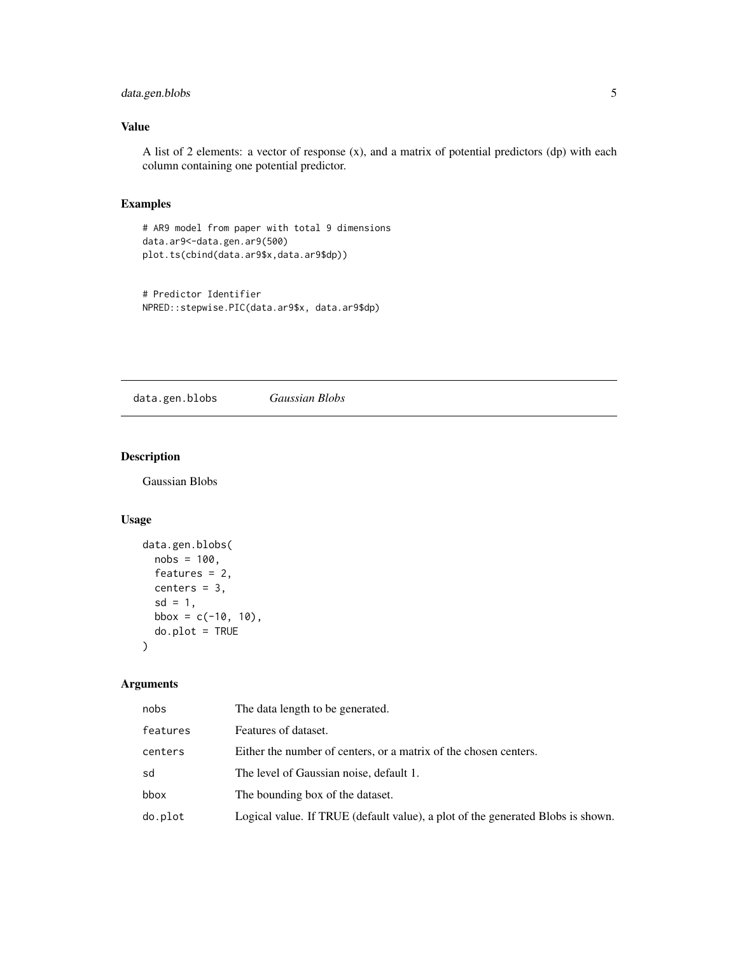# <span id="page-4-0"></span>data.gen.blobs 5

# Value

A list of 2 elements: a vector of response (x), and a matrix of potential predictors (dp) with each column containing one potential predictor.

#### Examples

```
# AR9 model from paper with total 9 dimensions
data.ar9<-data.gen.ar9(500)
plot.ts(cbind(data.ar9$x,data.ar9$dp))
```

```
# Predictor Identifier
NPRED::stepwise.PIC(data.ar9$x, data.ar9$dp)
```
data.gen.blobs *Gaussian Blobs*

# Description

Gaussian Blobs

# Usage

```
data.gen.blobs(
 nobs = 100,
  features = 2,
 centers = 3,
  sd = 1,
 bbox = c(-10, 10),
  do.plot = TRUE
\lambda
```

| nobs     | The data length to be generated.                                                |
|----------|---------------------------------------------------------------------------------|
| features | Features of dataset.                                                            |
| centers  | Either the number of centers, or a matrix of the chosen centers.                |
| sd       | The level of Gaussian noise, default 1.                                         |
| bbox     | The bounding box of the dataset.                                                |
| do.plot  | Logical value. If TRUE (default value), a plot of the generated Blobs is shown. |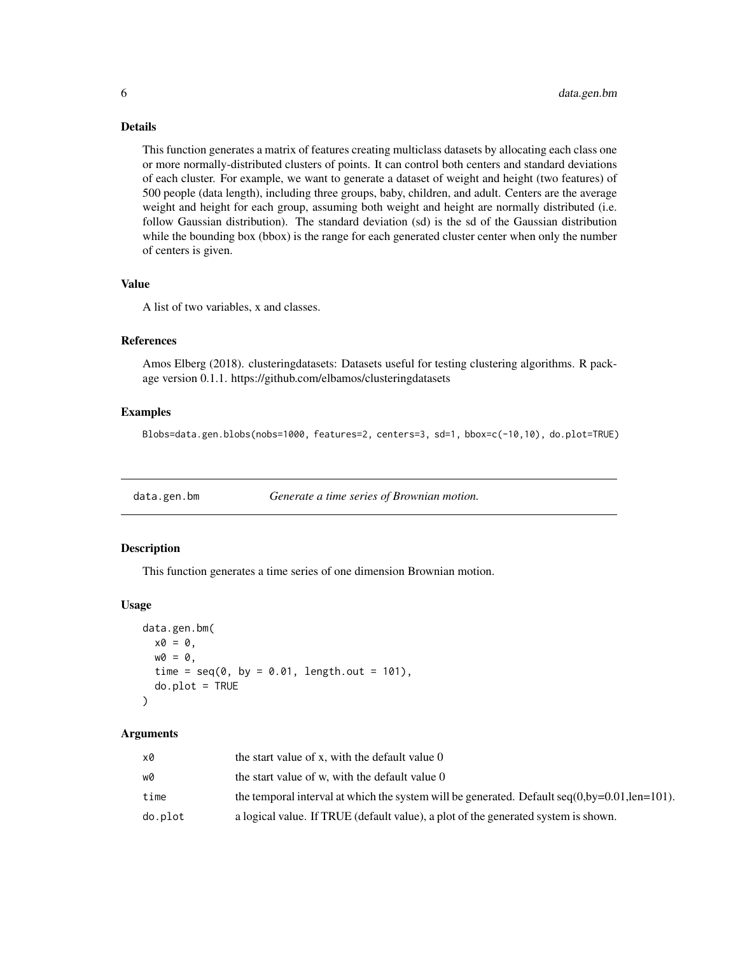# Details

This function generates a matrix of features creating multiclass datasets by allocating each class one or more normally-distributed clusters of points. It can control both centers and standard deviations of each cluster. For example, we want to generate a dataset of weight and height (two features) of 500 people (data length), including three groups, baby, children, and adult. Centers are the average weight and height for each group, assuming both weight and height are normally distributed (i.e. follow Gaussian distribution). The standard deviation (sd) is the sd of the Gaussian distribution while the bounding box (bbox) is the range for each generated cluster center when only the number of centers is given.

# Value

A list of two variables, x and classes.

#### References

Amos Elberg (2018). clusteringdatasets: Datasets useful for testing clustering algorithms. R package version 0.1.1. https://github.com/elbamos/clusteringdatasets

#### Examples

Blobs=data.gen.blobs(nobs=1000, features=2, centers=3, sd=1, bbox=c(-10,10), do.plot=TRUE)

data.gen.bm *Generate a time series of Brownian motion.*

#### Description

This function generates a time series of one dimension Brownian motion.

#### Usage

```
data.gen.bm(
 x0 = 0,
 w0 = 0,
  time = seq(0, by = 0.01, length.out = 101),
  do.plot = TRUE
)
```

| xØ      | the start value of x, with the default value 0                                                    |
|---------|---------------------------------------------------------------------------------------------------|
| wØ      | the start value of w, with the default value 0                                                    |
| time    | the temporal interval at which the system will be generated. Default $seq(0, by=0.01, len=101)$ . |
| do.plot | a logical value. If TRUE (default value), a plot of the generated system is shown.                |

<span id="page-5-0"></span>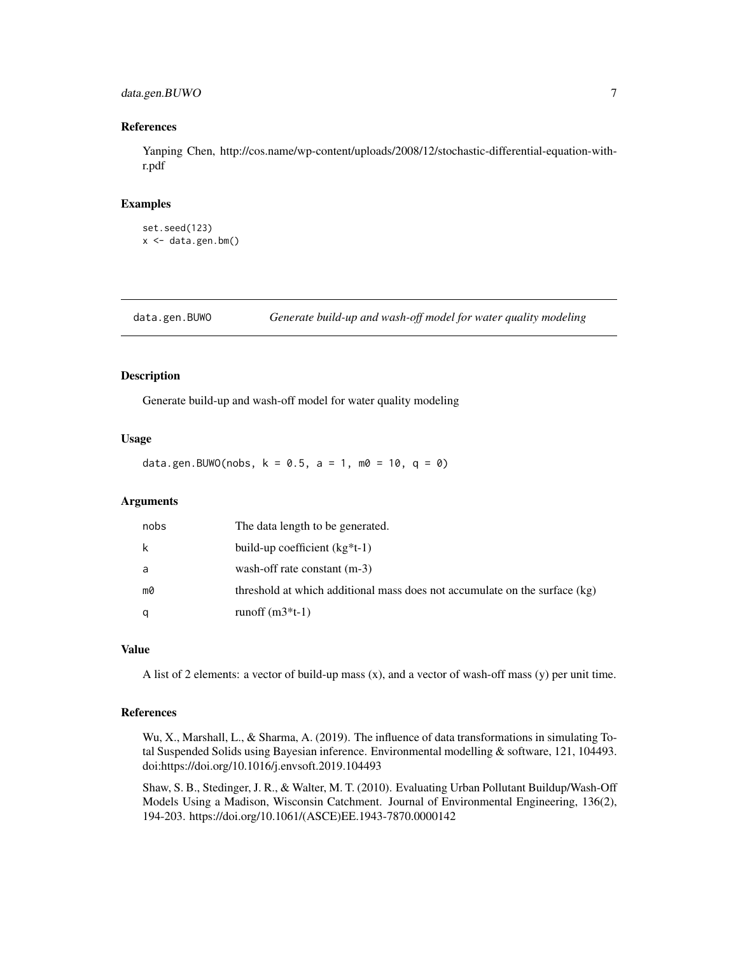# <span id="page-6-0"></span>data.gen.BUWO 7

# References

Yanping Chen, http://cos.name/wp-content/uploads/2008/12/stochastic-differential-equation-withr.pdf

#### Examples

```
set.seed(123)
x \le - data.gen.bm()
```
data.gen.BUWO *Generate build-up and wash-off model for water quality modeling*

#### Description

Generate build-up and wash-off model for water quality modeling

#### Usage

data.gen.BUWO(nobs,  $k = 0.5$ ,  $a = 1$ ,  $m0 = 10$ ,  $q = 0$ )

#### Arguments

| nobs | The data length to be generated.                                           |
|------|----------------------------------------------------------------------------|
| k    | build-up coefficient $(kg * t-1)$                                          |
| a    | wash-off rate constant (m-3)                                               |
| m0   | threshold at which additional mass does not accumulate on the surface (kg) |
| q    | runoff $(m3*t-1)$                                                          |

# Value

A list of 2 elements: a vector of build-up mass (x), and a vector of wash-off mass (y) per unit time.

#### References

Wu, X., Marshall, L., & Sharma, A. (2019). The influence of data transformations in simulating Total Suspended Solids using Bayesian inference. Environmental modelling & software, 121, 104493. doi:https://doi.org/10.1016/j.envsoft.2019.104493

Shaw, S. B., Stedinger, J. R., & Walter, M. T. (2010). Evaluating Urban Pollutant Buildup/Wash-Off Models Using a Madison, Wisconsin Catchment. Journal of Environmental Engineering, 136(2), 194-203. https://doi.org/10.1061/(ASCE)EE.1943-7870.0000142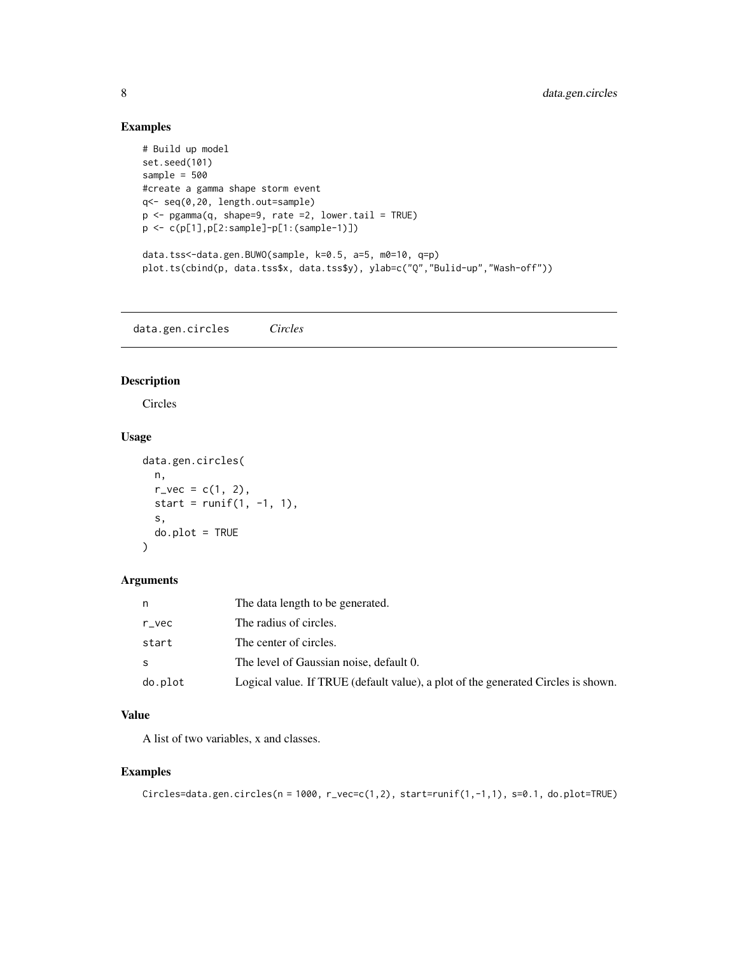# Examples

```
# Build up model
set.seed(101)
sample = 500
#create a gamma shape storm event
q<- seq(0,20, length.out=sample)
p <- pgamma(q, shape=9, rate =2, lower.tail = TRUE)
p <- c(p[1],p[2:sample]-p[1:(sample-1)])
data.tss<-data.gen.BUWO(sample, k=0.5, a=5, m0=10, q=p)
plot.ts(cbind(p, data.tss$x, data.tss$y), ylab=c("Q","Bulid-up","Wash-off"))
```
data.gen.circles *Circles*

# Description

Circles

# Usage

```
data.gen.circles(
  n,
  r_{\text{--}}vec = c(1, 2),
  start = runif(1, -1, 1),
  s,
  do.plot = TRUE
\lambda
```
#### Arguments

| n       | The data length to be generated.                                                  |
|---------|-----------------------------------------------------------------------------------|
| $r$ vec | The radius of circles.                                                            |
| start   | The center of circles.                                                            |
| S       | The level of Gaussian noise, default 0.                                           |
| do.plot | Logical value. If TRUE (default value), a plot of the generated Circles is shown. |

# Value

A list of two variables, x and classes.

```
Circles=data.gen.circles(n = 1000, r_vec=c(1,2), start=runif(1,-1,1), s=0.1, do.plot=TRUE)
```
<span id="page-7-0"></span>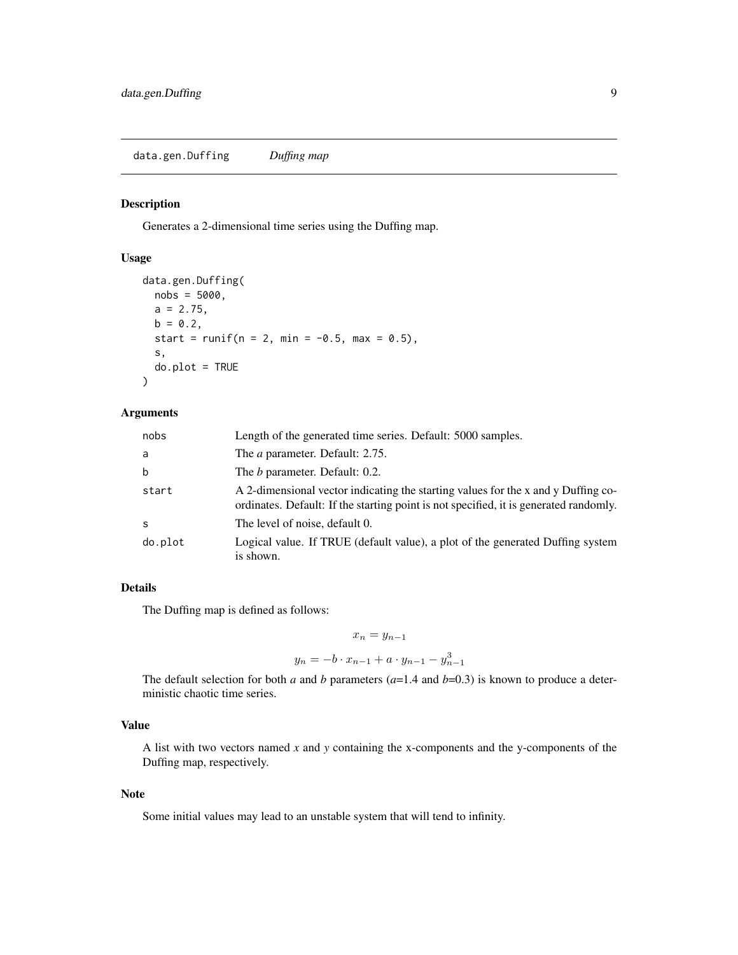<span id="page-8-0"></span>data.gen.Duffing *Duffing map*

#### Description

Generates a 2-dimensional time series using the Duffing map.

# Usage

```
data.gen.Duffing(
 nobs = 5000,
 a = 2.75,
 b = 0.2,
  start = runif(n = 2, min = -0.5, max = 0.5),
  s,
  do.plot = TRUE
\lambda
```
#### Arguments

| nobs    | Length of the generated time series. Default: 5000 samples.                                                                                                                |
|---------|----------------------------------------------------------------------------------------------------------------------------------------------------------------------------|
| a       | The <i>a</i> parameter. Default: 2.75.                                                                                                                                     |
| b       | The <i>b</i> parameter. Default: 0.2.                                                                                                                                      |
| start   | A 2-dimensional vector indicating the starting values for the x and y Duffing co-<br>ordinates. Default: If the starting point is not specified, it is generated randomly. |
| S       | The level of noise, default 0.                                                                                                                                             |
| do.plot | Logical value. If TRUE (default value), a plot of the generated Duffing system<br>is shown.                                                                                |

# Details

The Duffing map is defined as follows:

$$
x_n = y_{n-1}
$$
  

$$
y_n = -b \cdot x_{n-1} + a \cdot y_{n-1} - y_{n-1}^3
$$

The default selection for both *a* and *b* parameters  $(a=1.4$  and  $b=0.3)$  is known to produce a deterministic chaotic time series.

# Value

A list with two vectors named *x* and *y* containing the x-components and the y-components of the Duffing map, respectively.

#### Note

Some initial values may lead to an unstable system that will tend to infinity.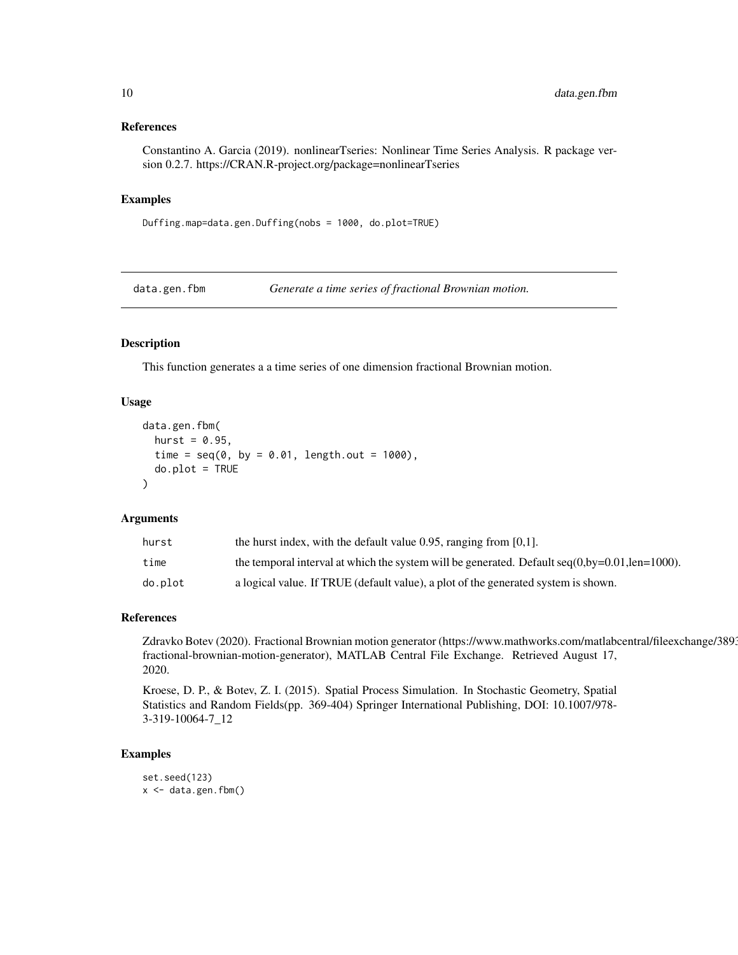#### <span id="page-9-0"></span>References

Constantino A. Garcia (2019). nonlinearTseries: Nonlinear Time Series Analysis. R package version 0.2.7. https://CRAN.R-project.org/package=nonlinearTseries

#### Examples

Duffing.map=data.gen.Duffing(nobs = 1000, do.plot=TRUE)

data.gen.fbm *Generate a time series of fractional Brownian motion.*

#### Description

This function generates a a time series of one dimension fractional Brownian motion.

#### Usage

```
data.gen.fbm(
 hurst = 0.95,
  time = seq(0, by = 0.01, length.out = 1000),
 do.plot = TRUE\lambda
```
#### Arguments

| hurst   | the hurst index, with the default value 0.95, ranging from $[0,1]$ .                               |
|---------|----------------------------------------------------------------------------------------------------|
| time    | the temporal interval at which the system will be generated. Default $seq(0, by=0.01, len=1000)$ . |
| do.plot | a logical value. If TRUE (default value), a plot of the generated system is shown.                 |

#### References

Zdravko Botev (2020). Fractional Brownian motion generator (https://www.mathworks.com/matlabcentral/fileexchange/389 fractional-brownian-motion-generator), MATLAB Central File Exchange. Retrieved August 17, 2020.

Kroese, D. P., & Botev, Z. I. (2015). Spatial Process Simulation. In Stochastic Geometry, Spatial Statistics and Random Fields(pp. 369-404) Springer International Publishing, DOI: 10.1007/978- 3-319-10064-7\_12

```
set.seed(123)
x < - data.gen.fbm()
```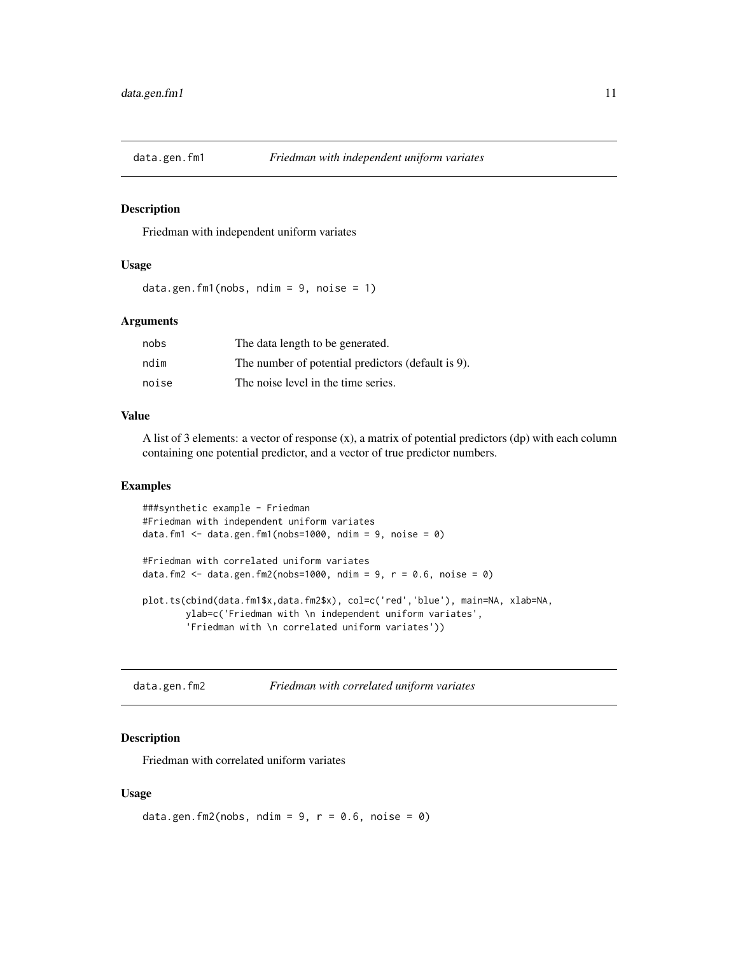<span id="page-10-0"></span>

Friedman with independent uniform variates

# Usage

```
data.gen.fm1(nobs, ndim = 9, noise = 1)
```
#### Arguments

| nobs  | The data length to be generated.                   |
|-------|----------------------------------------------------|
| ndim  | The number of potential predictors (default is 9). |
| noise | The noise level in the time series.                |

# Value

A list of 3 elements: a vector of response  $(x)$ , a matrix of potential predictors  $(dp)$  with each column containing one potential predictor, and a vector of true predictor numbers.

#### Examples

```
###synthetic example - Friedman
#Friedman with independent uniform variates
data.fm1 \leq data.gen.fm1(nobs=1000, ndim = 9, noise = 0)
#Friedman with correlated uniform variates
data.fm2 <- data.gen.fm2(nobs=1000, ndim = 9, r = 0.6, noise = 0)
plot.ts(cbind(data.fm1$x,data.fm2$x), col=c('red','blue'), main=NA, xlab=NA,
       ylab=c('Friedman with \n independent uniform variates',
        'Friedman with \n correlated uniform variates'))
```
data.gen.fm2 *Friedman with correlated uniform variates*

#### **Description**

Friedman with correlated uniform variates

#### Usage

```
data.gen.fm2(nobs, ndim = 9, r = 0.6, noise = 0)
```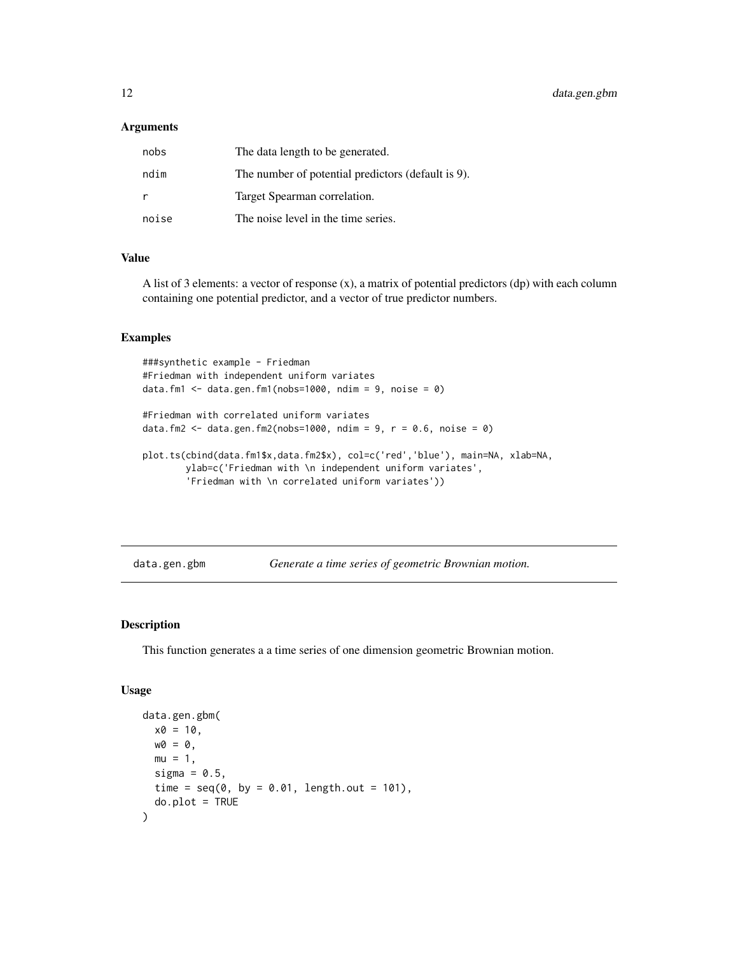#### <span id="page-11-0"></span>Arguments

| nobs  | The data length to be generated.                   |
|-------|----------------------------------------------------|
| ndim  | The number of potential predictors (default is 9). |
| r     | Target Spearman correlation.                       |
| noise | The noise level in the time series.                |

#### Value

A list of 3 elements: a vector of response (x), a matrix of potential predictors (dp) with each column containing one potential predictor, and a vector of true predictor numbers.

# Examples

```
###synthetic example - Friedman
#Friedman with independent uniform variates
data.fm1 \leq data.gen.fm1(nobs=1000, ndim = 9, noise = 0)
#Friedman with correlated uniform variates
data.fm2 <- data.gen.fm2(nobs=1000, ndim = 9, r = 0.6, noise = 0)
plot.ts(cbind(data.fm1$x,data.fm2$x), col=c('red','blue'), main=NA, xlab=NA,
       ylab=c('Friedman with \n independent uniform variates',
        'Friedman with \n correlated uniform variates'))
```
data.gen.gbm *Generate a time series of geometric Brownian motion.*

# Description

This function generates a a time series of one dimension geometric Brownian motion.

### Usage

```
data.gen.gbm(
 x0 = 10,
 w0 = 0,
 mu = 1,
  sigma = 0.5,
 time = seq(0, by = 0.01, length.out = 101),
  do.plot = TRUE)
```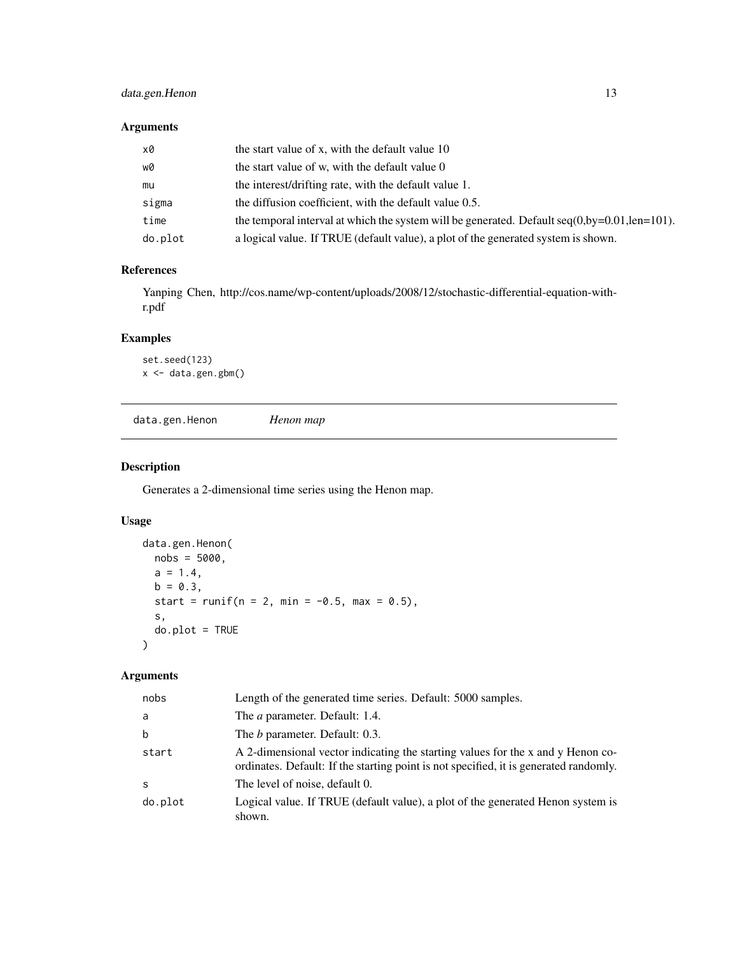# <span id="page-12-0"></span>data.gen.Henon 13

# Arguments

| x0      | the start value of x, with the default value 10                                                   |
|---------|---------------------------------------------------------------------------------------------------|
| wØ      | the start value of w, with the default value 0                                                    |
| mu      | the interest/drifting rate, with the default value 1.                                             |
| sigma   | the diffusion coefficient, with the default value 0.5.                                            |
| time    | the temporal interval at which the system will be generated. Default $seq(0, by=0.01, len=101)$ . |
| do.plot | a logical value. If TRUE (default value), a plot of the generated system is shown.                |

# References

Yanping Chen, http://cos.name/wp-content/uploads/2008/12/stochastic-differential-equation-withr.pdf

# Examples

```
set.seed(123)
x <- data.gen.gbm()
```
data.gen.Henon *Henon map*

# Description

Generates a 2-dimensional time series using the Henon map.

# Usage

```
data.gen.Henon(
 nobs = 5000,
 a = 1.4,
 b = 0.3,
 start = runif(n = 2, min = -0.5, max = 0.5),
 s,
 do.plot = TRUE\mathcal{E}
```

| nobs        | Length of the generated time series. Default: 5000 samples.                                                                                                              |
|-------------|--------------------------------------------------------------------------------------------------------------------------------------------------------------------------|
| a           | The <i>a</i> parameter. Default: 1.4.                                                                                                                                    |
| $\mathbf b$ | The <i>b</i> parameter. Default: 0.3.                                                                                                                                    |
| start       | A 2-dimensional vector indicating the starting values for the x and y Henon co-<br>ordinates. Default: If the starting point is not specified, it is generated randomly. |
| S           | The level of noise, default 0.                                                                                                                                           |
| do.plot     | Logical value. If TRUE (default value), a plot of the generated Henon system is<br>shown.                                                                                |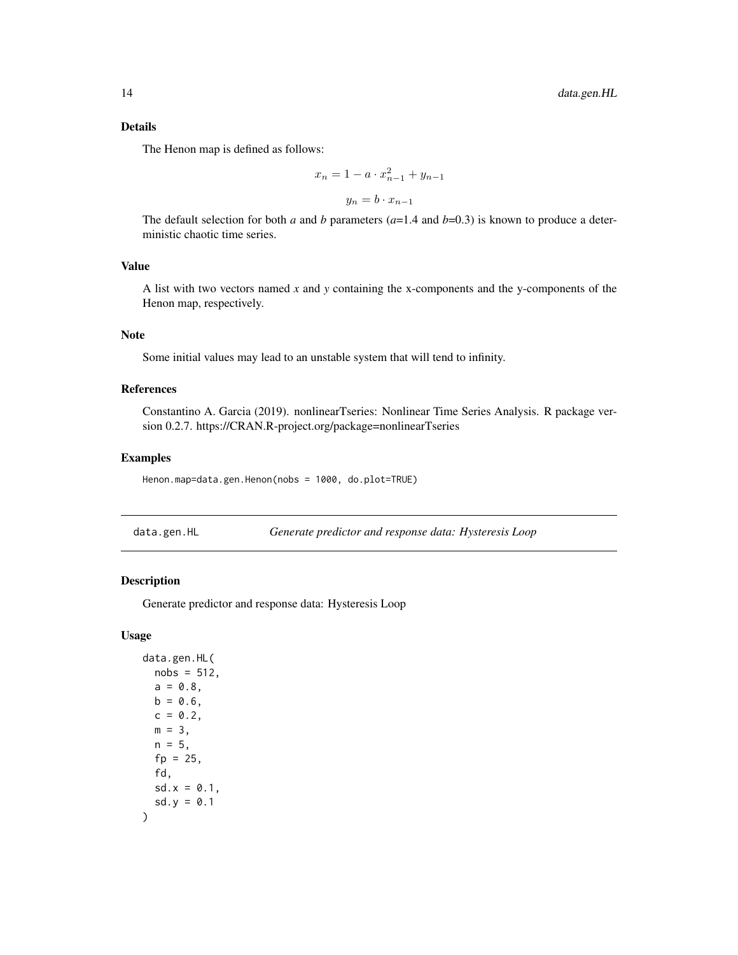#### <span id="page-13-0"></span>Details

The Henon map is defined as follows:

$$
x_n = 1 - a \cdot x_{n-1}^2 + y_{n-1}
$$

$$
y_n = b \cdot x_{n-1}
$$

The default selection for both *a* and *b* parameters  $(a=1.4$  and  $b=0.3$ ) is known to produce a deterministic chaotic time series.

# Value

A list with two vectors named *x* and *y* containing the x-components and the y-components of the Henon map, respectively.

# **Note**

Some initial values may lead to an unstable system that will tend to infinity.

# References

Constantino A. Garcia (2019). nonlinearTseries: Nonlinear Time Series Analysis. R package version 0.2.7. https://CRAN.R-project.org/package=nonlinearTseries

#### Examples

Henon.map=data.gen.Henon(nobs = 1000, do.plot=TRUE)

data.gen.HL *Generate predictor and response data: Hysteresis Loop*

#### Description

Generate predictor and response data: Hysteresis Loop

# Usage

```
data.gen.HL(
 nobs = 512,
  a = 0.8,
 b = 0.6,
  c = 0.2,
 m = 3,
 n = 5,
 fp = 25,
 fd,
  sd.x = 0.1,
  sd.y = 0.1)
```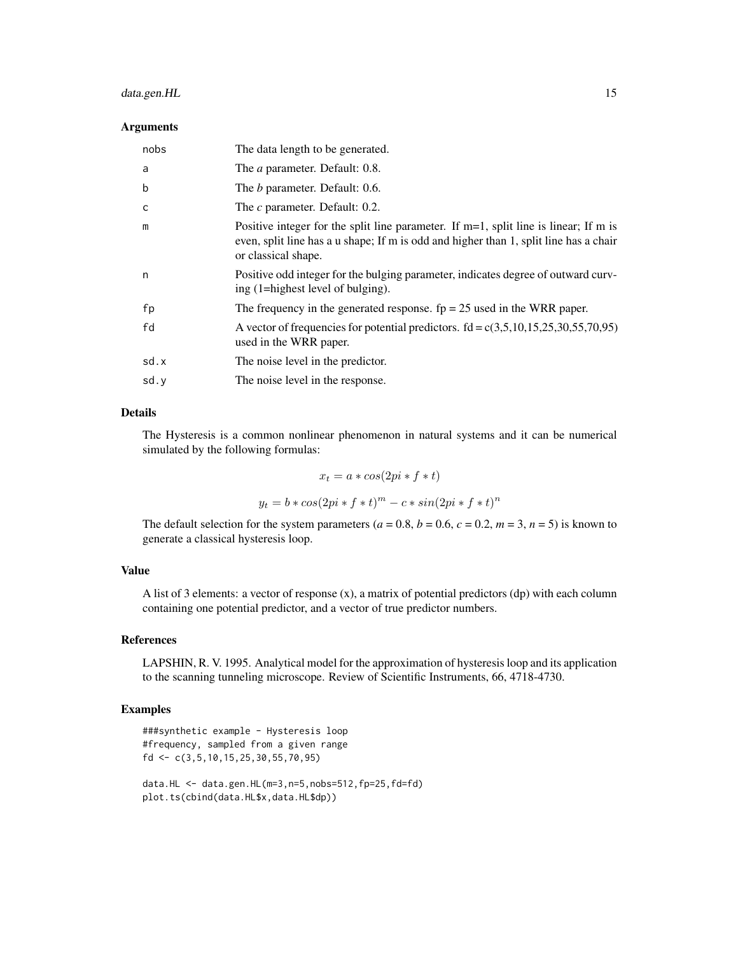# data.gen.HL 15

#### Arguments

| nobs | The data length to be generated.                                                                                                                                                                        |
|------|---------------------------------------------------------------------------------------------------------------------------------------------------------------------------------------------------------|
| a    | The <i>a</i> parameter. Default: 0.8.                                                                                                                                                                   |
| b    | The <i>b</i> parameter. Default: 0.6.                                                                                                                                                                   |
| C    | The c parameter. Default: 0.2.                                                                                                                                                                          |
| m    | Positive integer for the split line parameter. If $m=1$ , split line is linear; If m is<br>even, split line has a u shape; If m is odd and higher than 1, split line has a chair<br>or classical shape. |
| n    | Positive odd integer for the bulging parameter, indicates degree of outward curv-<br>ing (1=highest level of bulging).                                                                                  |
| fp   | The frequency in the generated response. $fp = 25$ used in the WRR paper.                                                                                                                               |
| fd   | A vector of frequencies for potential predictors. $fd = c(3,5,10,15,25,30,55,70,95)$<br>used in the WRR paper.                                                                                          |
| sd.x | The noise level in the predictor.                                                                                                                                                                       |
| sd.y | The noise level in the response.                                                                                                                                                                        |

# Details

The Hysteresis is a common nonlinear phenomenon in natural systems and it can be numerical simulated by the following formulas:

$$
x_t = a * cos(2pi * f * t)
$$
  

$$
y_t = b * cos(2pi * f * t)^m - c * sin(2pi * f * t)^n
$$

The default selection for the system parameters ( $a = 0.8$ ,  $b = 0.6$ ,  $c = 0.2$ ,  $m = 3$ ,  $n = 5$ ) is known to generate a classical hysteresis loop.

# Value

A list of 3 elements: a vector of response  $(x)$ , a matrix of potential predictors  $(dp)$  with each column containing one potential predictor, and a vector of true predictor numbers.

#### References

LAPSHIN, R. V. 1995. Analytical model for the approximation of hysteresis loop and its application to the scanning tunneling microscope. Review of Scientific Instruments, 66, 4718-4730.

# Examples

###synthetic example - Hysteresis loop #frequency, sampled from a given range fd <- c(3,5,10,15,25,30,55,70,95) data.HL <- data.gen.HL(m=3,n=5,nobs=512,fp=25,fd=fd)

plot.ts(cbind(data.HL\$x,data.HL\$dp))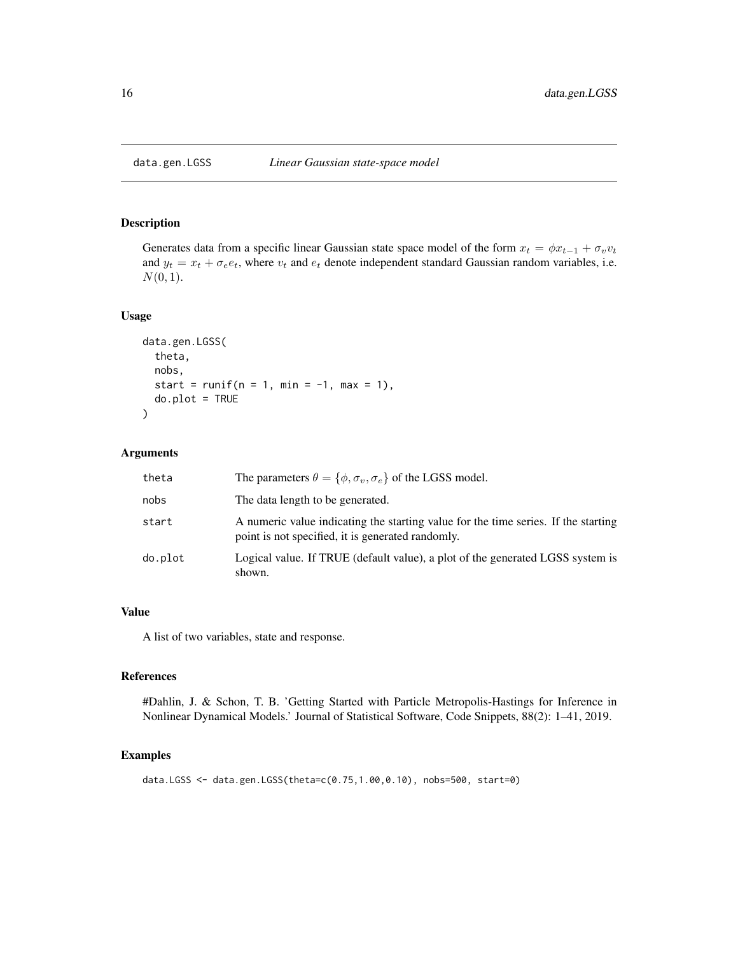<span id="page-15-0"></span>

Generates data from a specific linear Gaussian state space model of the form  $x_t = \phi x_{t-1} + \sigma_v v_t$ and  $y_t = x_t + \sigma_e e_t$ , where  $v_t$  and  $e_t$  denote independent standard Gaussian random variables, i.e.  $N(0, 1)$ .

#### Usage

```
data.gen.LGSS(
  theta,
  nobs,
  start = runif(n = 1, min = -1, max = 1),
  do.plot = TRUE)
```
# Arguments

| theta   | The parameters $\theta = {\phi, \sigma_v, \sigma_e}$ of the LGSS model.                                                                 |
|---------|-----------------------------------------------------------------------------------------------------------------------------------------|
| nobs    | The data length to be generated.                                                                                                        |
| start   | A numeric value indicating the starting value for the time series. If the starting<br>point is not specified, it is generated randomly. |
| do.plot | Logical value. If TRUE (default value), a plot of the generated LGSS system is<br>shown.                                                |

#### Value

A list of two variables, state and response.

#### References

#Dahlin, J. & Schon, T. B. 'Getting Started with Particle Metropolis-Hastings for Inference in Nonlinear Dynamical Models.' Journal of Statistical Software, Code Snippets, 88(2): 1–41, 2019.

```
data.LGSS <- data.gen.LGSS(theta=c(0.75,1.00,0.10), nobs=500, start=0)
```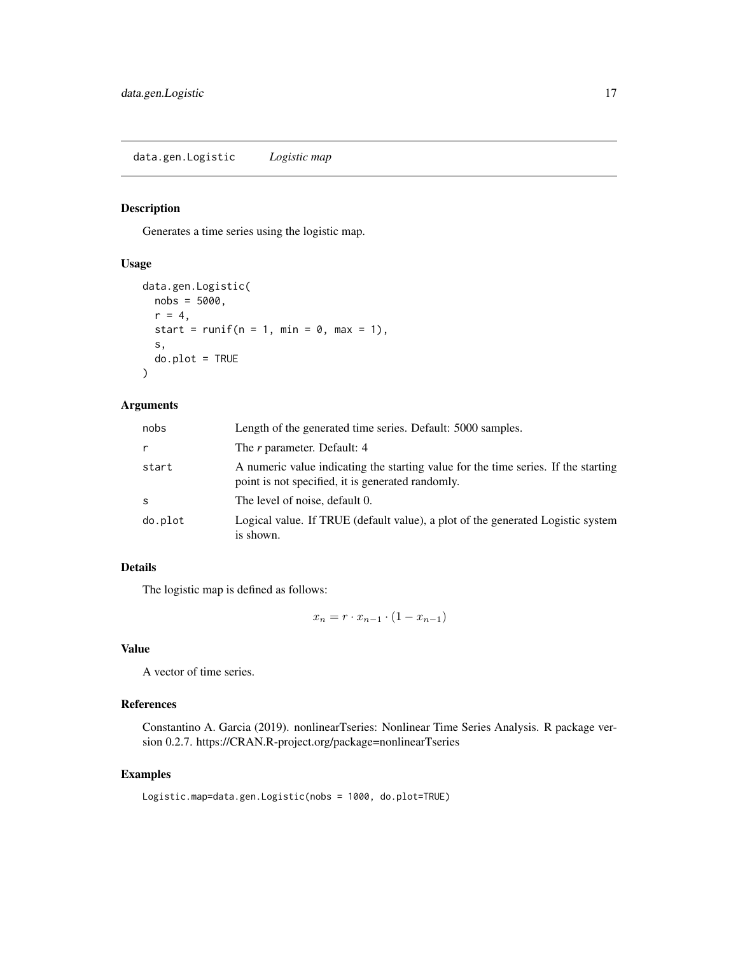<span id="page-16-0"></span>Generates a time series using the logistic map.

#### Usage

```
data.gen.Logistic(
 nobs = 5000,
 r = 4,
 start = runif(n = 1, min = 0, max = 1),
 s,
 do.plot = TRUE)
```
# Arguments

| nobs         | Length of the generated time series. Default: 5000 samples.                                                                             |
|--------------|-----------------------------------------------------------------------------------------------------------------------------------------|
| r            | The r parameter. Default: 4                                                                                                             |
| start        | A numeric value indicating the starting value for the time series. If the starting<br>point is not specified, it is generated randomly. |
| <sub>S</sub> | The level of noise, default 0.                                                                                                          |
| do.plot      | Logical value. If TRUE (default value), a plot of the generated Logistic system<br>is shown.                                            |

# Details

The logistic map is defined as follows:

$$
x_n = r \cdot x_{n-1} \cdot (1 - x_{n-1})
$$

# Value

A vector of time series.

# References

Constantino A. Garcia (2019). nonlinearTseries: Nonlinear Time Series Analysis. R package version 0.2.7. https://CRAN.R-project.org/package=nonlinearTseries

#### Examples

Logistic.map=data.gen.Logistic(nobs = 1000, do.plot=TRUE)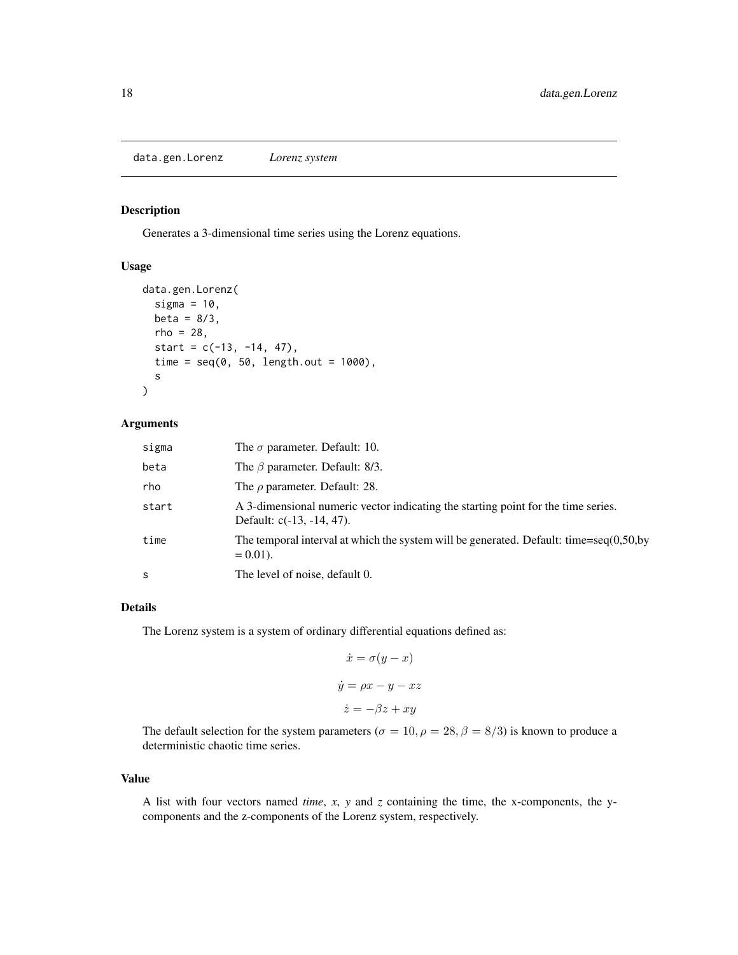<span id="page-17-0"></span>data.gen.Lorenz *Lorenz system*

#### Description

Generates a 3-dimensional time series using the Lorenz equations.

# Usage

```
data.gen.Lorenz(
  sigma = 10,
 beta = 8/3,
 rho = 28,
  start = c(-13, -14, 47),
  time = seq(0, 50, length.out = 1000),s
)
```
# Arguments

| sigma | The $\sigma$ parameter. Default: 10.                                                                              |
|-------|-------------------------------------------------------------------------------------------------------------------|
| beta  | The $\beta$ parameter. Default: 8/3.                                                                              |
| rho   | The $\rho$ parameter. Default: 28.                                                                                |
| start | A 3-dimensional numeric vector indicating the starting point for the time series.<br>Default: $c(-13, -14, 47)$ . |
| time  | The temporal interval at which the system will be generated. Default: time=seq $(0,50,by)$<br>$= 0.01$ .          |
| S     | The level of noise, default 0.                                                                                    |

# Details

The Lorenz system is a system of ordinary differential equations defined as:

$$
\dot{x} = \sigma(y - x)
$$

$$
\dot{y} = \rho x - y - xz
$$

$$
\dot{z} = -\beta z + xy
$$

The default selection for the system parameters ( $\sigma = 10, \rho = 28, \beta = 8/3$ ) is known to produce a deterministic chaotic time series.

#### Value

A list with four vectors named *time*, *x*, *y* and *z* containing the time, the x-components, the ycomponents and the z-components of the Lorenz system, respectively.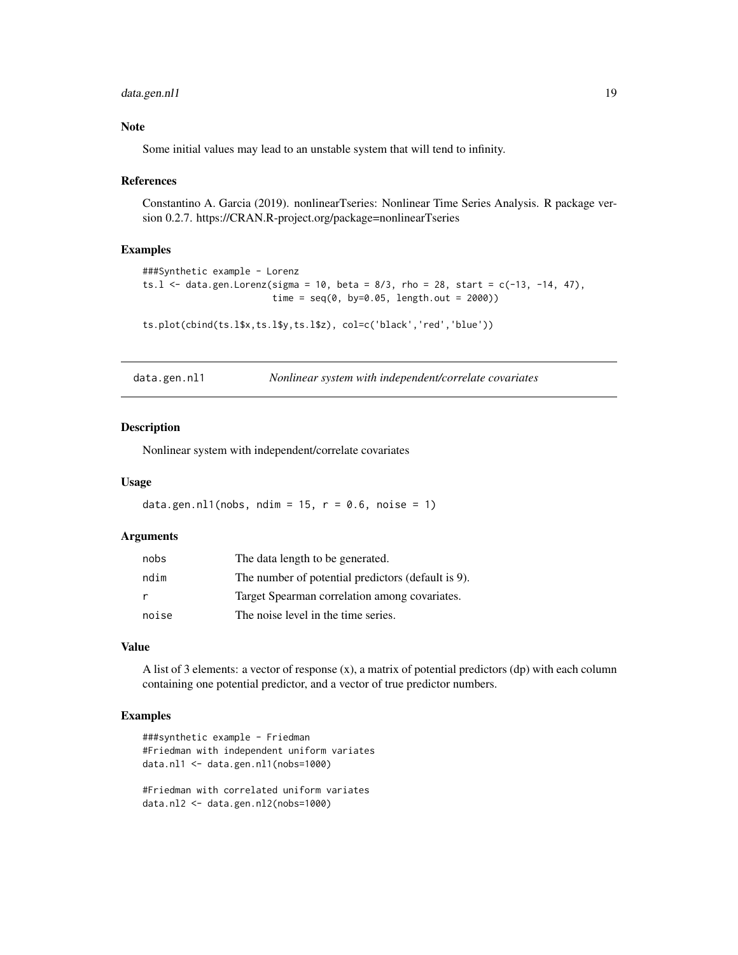# <span id="page-18-0"></span>data.gen.nl1 19

#### Note

Some initial values may lead to an unstable system that will tend to infinity.

#### References

Constantino A. Garcia (2019). nonlinearTseries: Nonlinear Time Series Analysis. R package version 0.2.7. https://CRAN.R-project.org/package=nonlinearTseries

#### Examples

```
###Synthetic example - Lorenz
ts.1 <- data.gen.Lorenz(sigma = 10, beta = 8/3, rho = 28, start = c(-13, -14, 47),
                        time = seq(0, by=0.05, length.out = 2000))
```
ts.plot(cbind(ts.l\$x,ts.l\$y,ts.l\$z), col=c('black','red','blue'))

| data.gen.nl1 | Nonlinear system with independent/correlate covariates |  |  |
|--------------|--------------------------------------------------------|--|--|
|              |                                                        |  |  |

#### Description

Nonlinear system with independent/correlate covariates

#### Usage

data.gen.nl1(nobs, ndim = 15,  $r = 0.6$ , noise = 1)

# Arguments

| nobs  | The data length to be generated.                   |
|-------|----------------------------------------------------|
| ndim  | The number of potential predictors (default is 9). |
| r     | Target Spearman correlation among covariates.      |
| noise | The noise level in the time series.                |

# Value

A list of 3 elements: a vector of response (x), a matrix of potential predictors (dp) with each column containing one potential predictor, and a vector of true predictor numbers.

#### Examples

```
###synthetic example - Friedman
#Friedman with independent uniform variates
data.nl1 <- data.gen.nl1(nobs=1000)
```
#Friedman with correlated uniform variates data.nl2 <- data.gen.nl2(nobs=1000)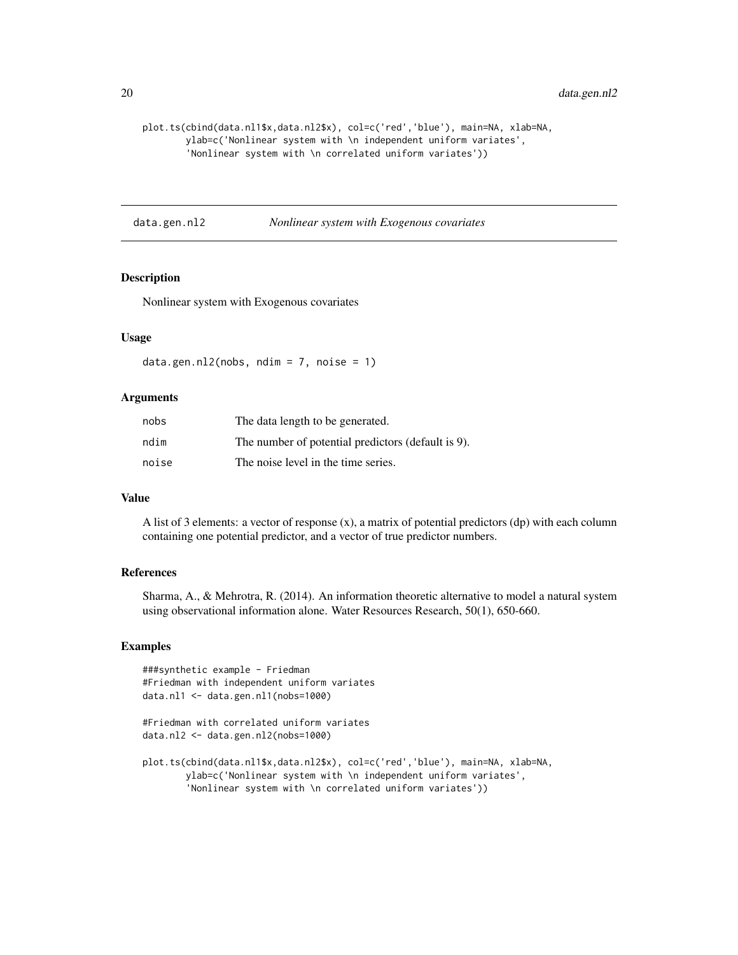```
plot.ts(cbind(data.nl1$x,data.nl2$x), col=c('red','blue'), main=NA, xlab=NA,
       ylab=c('Nonlinear system with \n independent uniform variates',
        'Nonlinear system with \n correlated uniform variates'))
```
data.gen.nl2 *Nonlinear system with Exogenous covariates*

# **Description**

Nonlinear system with Exogenous covariates

# Usage

data.gen.nl2(nobs, ndim =  $7$ , noise =  $1$ )

# Arguments

| nobs  | The data length to be generated.                   |
|-------|----------------------------------------------------|
| ndim  | The number of potential predictors (default is 9). |
| noise | The noise level in the time series.                |

#### Value

A list of 3 elements: a vector of response  $(x)$ , a matrix of potential predictors  $(dp)$  with each column containing one potential predictor, and a vector of true predictor numbers.

#### References

Sharma, A., & Mehrotra, R. (2014). An information theoretic alternative to model a natural system using observational information alone. Water Resources Research, 50(1), 650-660.

```
###synthetic example - Friedman
#Friedman with independent uniform variates
data.nl1 <- data.gen.nl1(nobs=1000)
#Friedman with correlated uniform variates
data.nl2 <- data.gen.nl2(nobs=1000)
```

```
plot.ts(cbind(data.nl1$x,data.nl2$x), col=c('red','blue'), main=NA, xlab=NA,
       ylab=c('Nonlinear system with \n independent uniform variates',
        'Nonlinear system with \n correlated uniform variates'))
```
<span id="page-19-0"></span>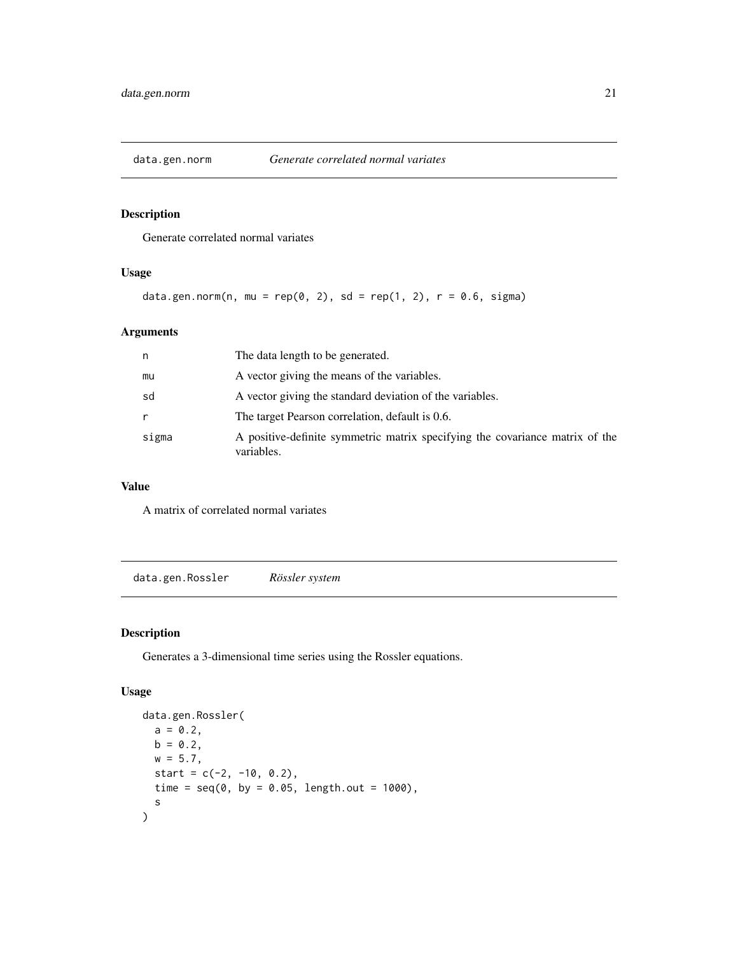<span id="page-20-0"></span>

Generate correlated normal variates

# Usage

```
data.gen.norm(n, mu = rep(0, 2), sd = rep(1, 2), r = 0.6, sigma)
```
# Arguments

| n     | The data length to be generated.                                                           |
|-------|--------------------------------------------------------------------------------------------|
| mu    | A vector giving the means of the variables.                                                |
| sd    | A vector giving the standard deviation of the variables.                                   |
| r     | The target Pearson correlation, default is 0.6.                                            |
| sigma | A positive-definite symmetric matrix specifying the covariance matrix of the<br>variables. |

# Value

A matrix of correlated normal variates

data.gen.Rossler *Rössler system*

# Description

Generates a 3-dimensional time series using the Rossler equations.

# Usage

```
data.gen.Rossler(
 a = 0.2,
 b = 0.2w = 5.7,
  start = c(-2, -10, 0.2),
 time = seq(0, by = 0.05, length.out = 1000),
  s
\mathcal{E}
```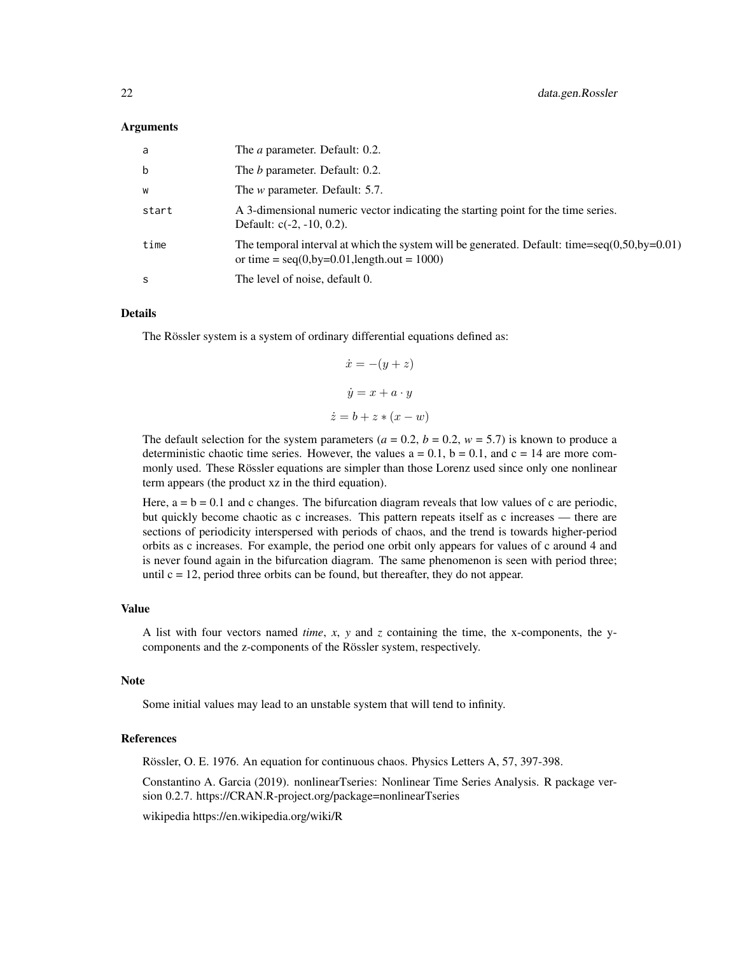#### Arguments

| a     | The <i>a</i> parameter. Default: 0.2.                                                                                                                  |
|-------|--------------------------------------------------------------------------------------------------------------------------------------------------------|
| b     | The <i>b</i> parameter. Default: 0.2.                                                                                                                  |
| W     | The <i>w</i> parameter. Default: 5.7.                                                                                                                  |
| start | A 3-dimensional numeric vector indicating the starting point for the time series.<br>Default: $c(-2, -10, 0.2)$ .                                      |
| time  | The temporal interval at which the system will be generated. Default: time=seq $(0.50$ , by= $0.01)$<br>or time = $seq(0, by=0.01, length.out = 1000)$ |
| S     | The level of noise, default 0.                                                                                                                         |

# Details

The Rössler system is a system of ordinary differential equations defined as:

$$
\dot{x} = -(y + z)
$$

$$
\dot{y} = x + a \cdot y
$$

$$
\dot{z} = b + z * (x - w)
$$

The default selection for the system parameters ( $a = 0.2$ ,  $b = 0.2$ ,  $w = 5.7$ ) is known to produce a deterministic chaotic time series. However, the values  $a = 0.1$ ,  $b = 0.1$ , and  $c = 14$  are more commonly used. These Rössler equations are simpler than those Lorenz used since only one nonlinear term appears (the product xz in the third equation).

Here,  $a = b = 0.1$  and c changes. The bifurcation diagram reveals that low values of c are periodic, but quickly become chaotic as c increases. This pattern repeats itself as c increases — there are sections of periodicity interspersed with periods of chaos, and the trend is towards higher-period orbits as c increases. For example, the period one orbit only appears for values of c around 4 and is never found again in the bifurcation diagram. The same phenomenon is seen with period three; until  $c = 12$ , period three orbits can be found, but thereafter, they do not appear.

#### Value

A list with four vectors named *time*,  $x$ ,  $y$  and  $z$  containing the time, the x-components, the ycomponents and the z-components of the Rössler system, respectively.

#### Note

Some initial values may lead to an unstable system that will tend to infinity.

#### References

Rössler, O. E. 1976. An equation for continuous chaos. Physics Letters A, 57, 397-398.

Constantino A. Garcia (2019). nonlinearTseries: Nonlinear Time Series Analysis. R package version 0.2.7. https://CRAN.R-project.org/package=nonlinearTseries

wikipedia https://en.wikipedia.org/wiki/R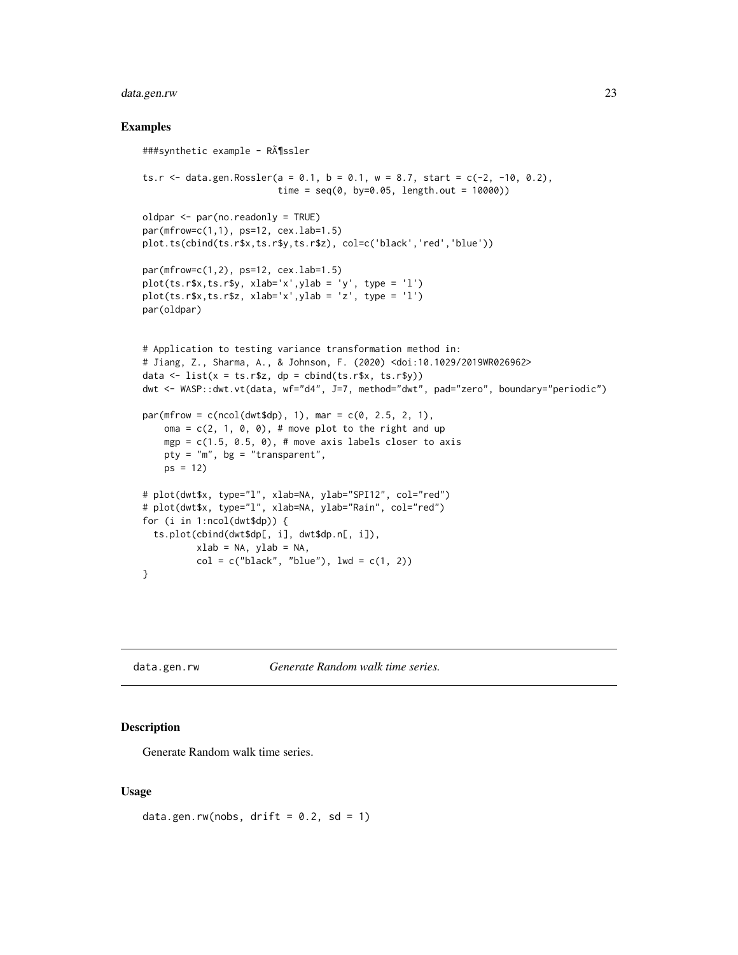# <span id="page-22-0"></span>data.gen.rw 23

#### Examples

```
###synthetic example - Rössler
ts.r <- data.gen.Rossler(a = 0.1, b = 0.1, w = 8.7, start = c(-2, -10, 0.2),
                         time = seq(0, by=0.05, length.out = 10000))oldpar <- par(no.readonly = TRUE)
par(mfrow=c(1,1), ps=12, cex.lab=1.5)
plot.ts(cbind(ts.r$x,ts.r$y,ts.r$z), col=c('black','red','blue'))
par(mfrow=c(1,2), ps=12, cex.lab=1.5)
plot(ts.r$x, ts.r$y, xlab='x', ylab = 'y', type = 'l')plot(ts.r$x, ts.r$z, xlab='x', ylab = 'z', type = 'l')par(oldpar)
# Application to testing variance transformation method in:
# Jiang, Z., Sharma, A., & Johnson, F. (2020) <doi:10.1029/2019WR026962>
data \le list(x = ts.r$z, dp = cbind(ts.r$x, ts.r$y))
dwt <- WASP::dwt.vt(data, wf="d4", J=7, method="dwt", pad="zero", boundary="periodic")
par(mfrow = c(ncol(dwt$dp), 1), mar = c(0, 2.5, 2, 1),oma = c(2, 1, 0, 0), # move plot to the right and up
    mgp = c(1.5, 0.5, 0), # move axis labels closer to axis
   pty = m, bg = "transparent",
   ps = 12# plot(dwt$x, type="l", xlab=NA, ylab="SPI12", col="red")
# plot(dwt$x, type="l", xlab=NA, ylab="Rain", col="red")
for (i in 1:ncol(dwt$dp)) {
  ts.plot(cbind(dwt$dp[, i], dwt$dp.n[, i]),
          xlab = NA, ylab = NA,
          col = c("black", "blue"), \text{lwd} = c(1, 2))}
```
data.gen.rw *Generate Random walk time series.*

#### Description

Generate Random walk time series.

#### Usage

data.gen.rw(nobs, drift =  $0.2$ , sd = 1)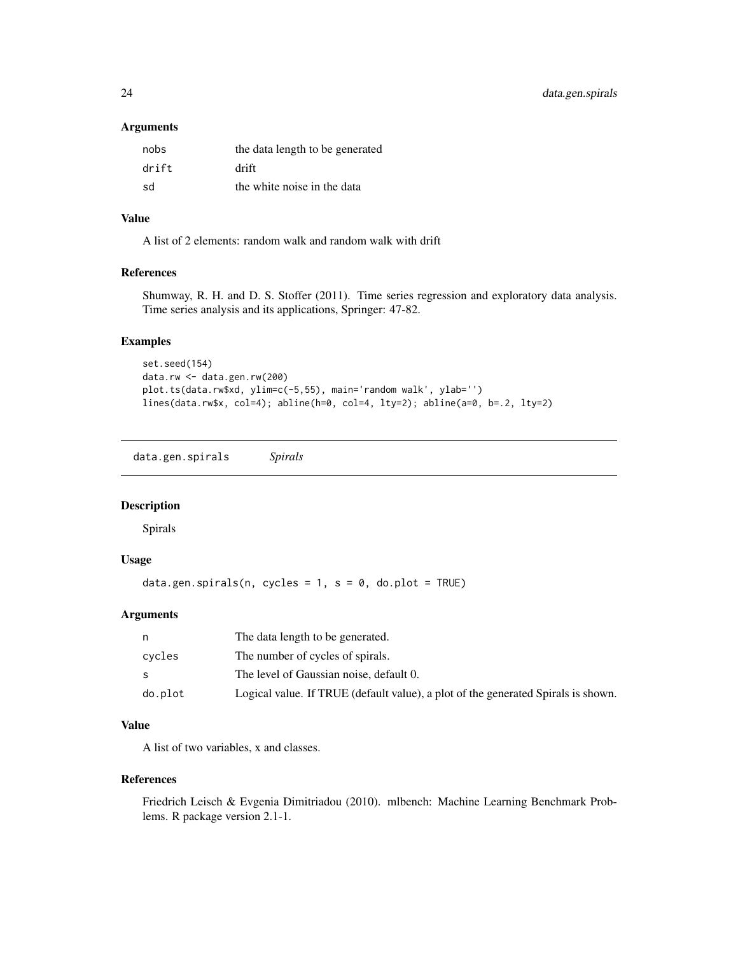<span id="page-23-0"></span>24 data.gen.spirals

#### Arguments

| nobs  | the data length to be generated |
|-------|---------------------------------|
| drift | drift                           |
| sd    | the white noise in the data     |

# Value

A list of 2 elements: random walk and random walk with drift

# References

Shumway, R. H. and D. S. Stoffer (2011). Time series regression and exploratory data analysis. Time series analysis and its applications, Springer: 47-82.

# Examples

```
set.seed(154)
data.rw <- data.gen.rw(200)
plot.ts(data.rw$xd, ylim=c(-5,55), main='random walk', ylab='')
lines(data.rw$x, col=4); abline(h=0, col=4, lty=2); abline(a=0, b=.2, lty=2)
```
data.gen.spirals *Spirals*

# Description

Spirals

# Usage

data.gen.spirals(n, cycles =  $1$ , s =  $0$ , do.plot = TRUE)

#### Arguments

|         | The data length to be generated.                                                  |
|---------|-----------------------------------------------------------------------------------|
| cycles  | The number of cycles of spirals.                                                  |
|         | The level of Gaussian noise, default 0.                                           |
| do.plot | Logical value. If TRUE (default value), a plot of the generated Spirals is shown. |

# Value

A list of two variables, x and classes.

#### References

Friedrich Leisch & Evgenia Dimitriadou (2010). mlbench: Machine Learning Benchmark Problems. R package version 2.1-1.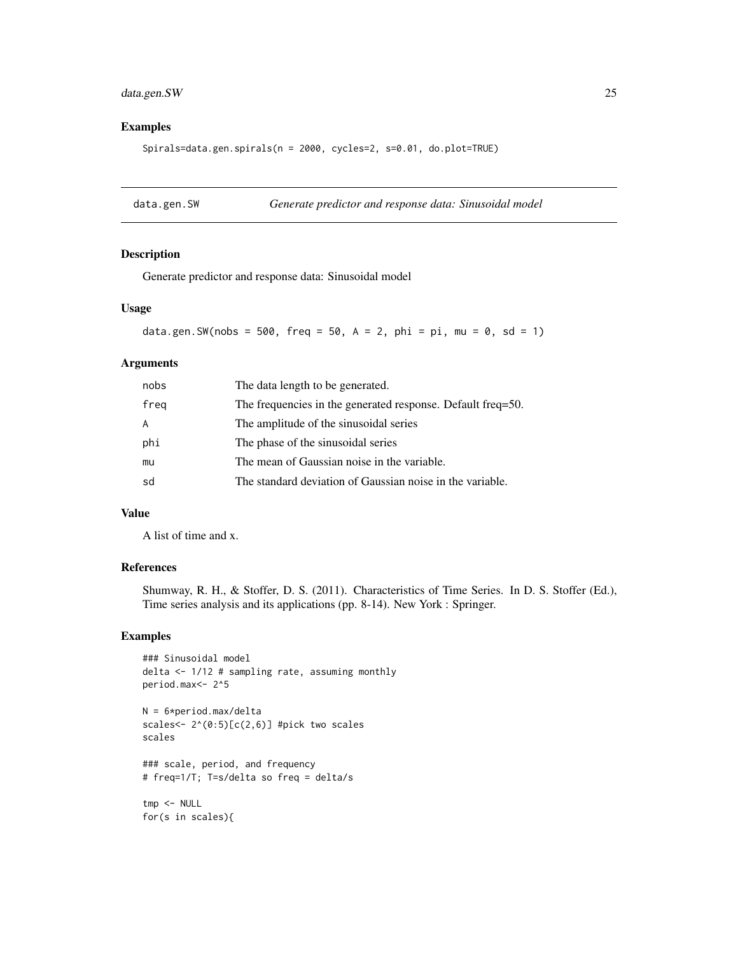# <span id="page-24-0"></span>data.gen.SW 25

# Examples

Spirals=data.gen.spirals(n = 2000, cycles=2, s=0.01, do.plot=TRUE)

data.gen.SW *Generate predictor and response data: Sinusoidal model*

#### Description

Generate predictor and response data: Sinusoidal model

#### Usage

data.gen.SW(nobs = 500, freq = 50, A = 2, phi = pi, mu = 0, sd = 1)

#### Arguments

| nobs | The data length to be generated.                            |
|------|-------------------------------------------------------------|
| freq | The frequencies in the generated response. Default freq=50. |
| A    | The amplitude of the sinusoidal series                      |
| phi  | The phase of the sinusoidal series                          |
| mu   | The mean of Gaussian noise in the variable.                 |
| sd   | The standard deviation of Gaussian noise in the variable.   |

# Value

A list of time and x.

# References

Shumway, R. H., & Stoffer, D. S. (2011). Characteristics of Time Series. In D. S. Stoffer (Ed.), Time series analysis and its applications (pp. 8-14). New York : Springer.

# Examples

```
### Sinusoidal model
delta <- 1/12 # sampling rate, assuming monthly
period.max<- 2^5
```

```
N = 6*period.max/delta
scales<- 2^(0:5)[c(2,6)] #pick two scales
scales
```
### scale, period, and frequency # freq=1/T; T=s/delta so freq = delta/s

tmp <- NULL for(s in scales){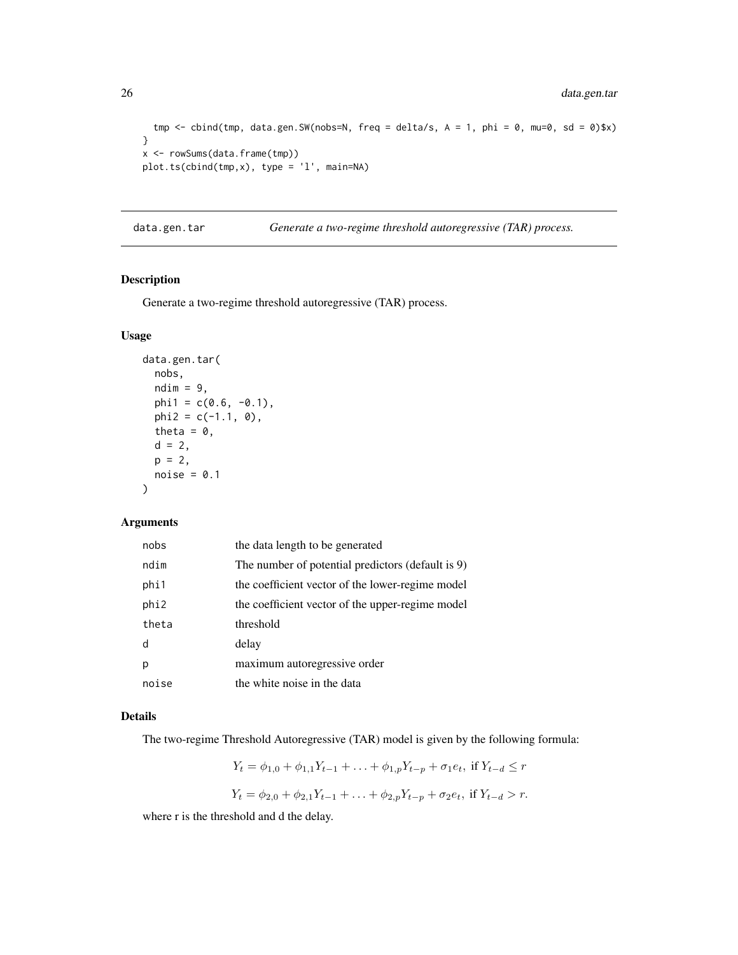```
tmp \le cbind(tmp, data.gen.SW(nobs=N, freq = delta/s, A = 1, phi = 0, mu=0, sd = 0)$x)
}
x <- rowSums(data.frame(tmp))
plot.ts(cbind(tmp,x), type = 'l', main=NA)
```
data.gen.tar *Generate a two-regime threshold autoregressive (TAR) process.*

# Description

Generate a two-regime threshold autoregressive (TAR) process.

#### Usage

```
data.gen.tar(
 nobs,
 ndim = 9,
 phi1 = c(0.6, -0.1),
 phi2 = c(-1.1, 0),
 theta = 0,
 d = 2,
 p = 2,
 noise = 0.1)
```
# Arguments

| nobs  | the data length to be generated                   |
|-------|---------------------------------------------------|
| ndim  | The number of potential predictors (default is 9) |
| phi1  | the coefficient vector of the lower-regime model  |
| phi2  | the coefficient vector of the upper-regime model  |
| theta | threshold                                         |
| d     | delay                                             |
| p     | maximum autoregressive order                      |
| noise | the white noise in the data                       |

# Details

The two-regime Threshold Autoregressive (TAR) model is given by the following formula:

$$
Y_t = \phi_{1,0} + \phi_{1,1}Y_{t-1} + \dots + \phi_{1,p}Y_{t-p} + \sigma_1 e_t, \text{ if } Y_{t-d} \le r
$$
  

$$
Y_t = \phi_{2,0} + \phi_{2,1}Y_{t-1} + \dots + \phi_{2,p}Y_{t-p} + \sigma_2 e_t, \text{ if } Y_{t-d} > r.
$$

where r is the threshold and d the delay.

<span id="page-25-0"></span>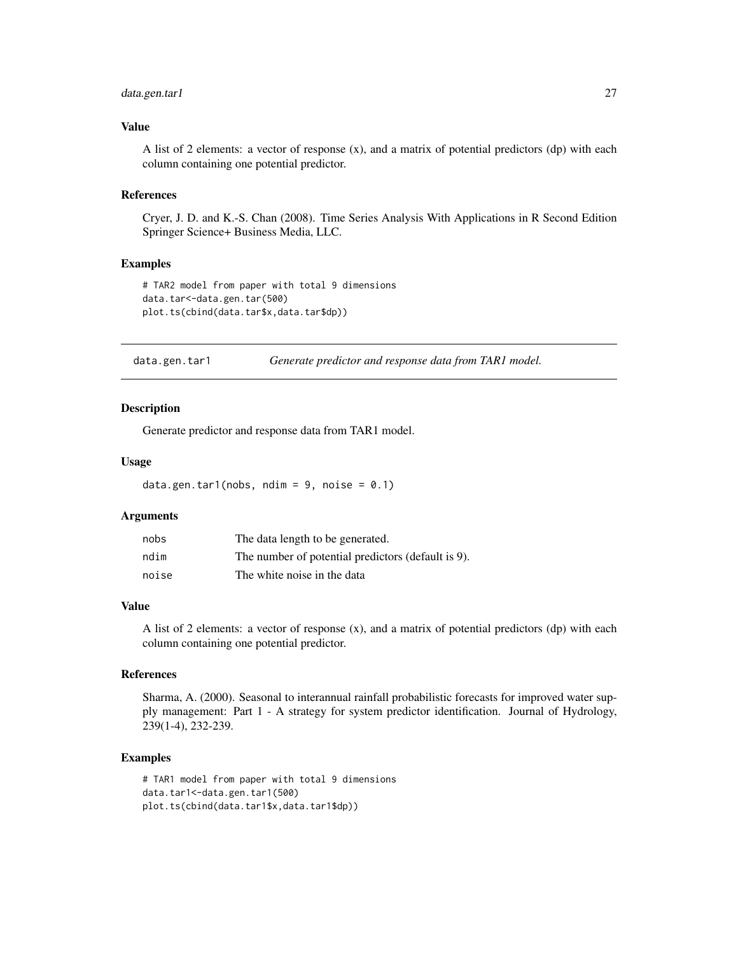# <span id="page-26-0"></span>data.gen.tar1 27

#### Value

A list of 2 elements: a vector of response (x), and a matrix of potential predictors (dp) with each column containing one potential predictor.

#### References

Cryer, J. D. and K.-S. Chan (2008). Time Series Analysis With Applications in R Second Edition Springer Science+ Business Media, LLC.

# Examples

```
# TAR2 model from paper with total 9 dimensions
data.tar<-data.gen.tar(500)
plot.ts(cbind(data.tar$x,data.tar$dp))
```
data.gen.tar1 *Generate predictor and response data from TAR1 model.*

#### Description

Generate predictor and response data from TAR1 model.

#### Usage

```
data.gen.tar1(nobs, ndim = 9, noise = 0.1)
```
# Arguments

| nobs  | The data length to be generated.                   |
|-------|----------------------------------------------------|
| ndim  | The number of potential predictors (default is 9). |
| noise | The white noise in the data                        |

#### Value

A list of 2 elements: a vector of response (x), and a matrix of potential predictors (dp) with each column containing one potential predictor.

#### References

Sharma, A. (2000). Seasonal to interannual rainfall probabilistic forecasts for improved water supply management: Part 1 - A strategy for system predictor identification. Journal of Hydrology, 239(1-4), 232-239.

```
# TAR1 model from paper with total 9 dimensions
data.tar1<-data.gen.tar1(500)
plot.ts(cbind(data.tar1$x,data.tar1$dp))
```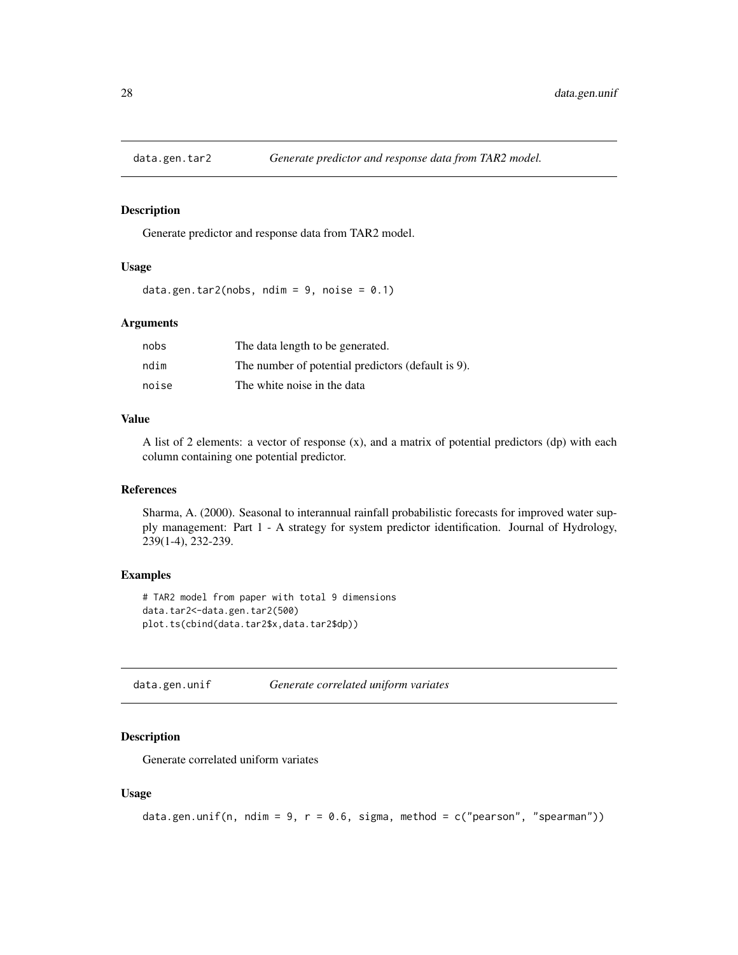<span id="page-27-0"></span>

Generate predictor and response data from TAR2 model.

# Usage

```
data.gen.tar2(nobs, ndim = 9, noise = 0.1)
```
#### Arguments

| nobs  | The data length to be generated.                   |
|-------|----------------------------------------------------|
| ndim  | The number of potential predictors (default is 9). |
| noise | The white noise in the data                        |

# Value

A list of 2 elements: a vector of response (x), and a matrix of potential predictors (dp) with each column containing one potential predictor.

#### References

Sharma, A. (2000). Seasonal to interannual rainfall probabilistic forecasts for improved water supply management: Part 1 - A strategy for system predictor identification. Journal of Hydrology, 239(1-4), 232-239.

#### Examples

```
# TAR2 model from paper with total 9 dimensions
data.tar2<-data.gen.tar2(500)
plot.ts(cbind(data.tar2$x,data.tar2$dp))
```
data.gen.unif *Generate correlated uniform variates*

# Description

Generate correlated uniform variates

#### Usage

```
data.gen.unif(n, ndim = 9, r = 0.6, sigma, method = c("pearson", "spearman"))
```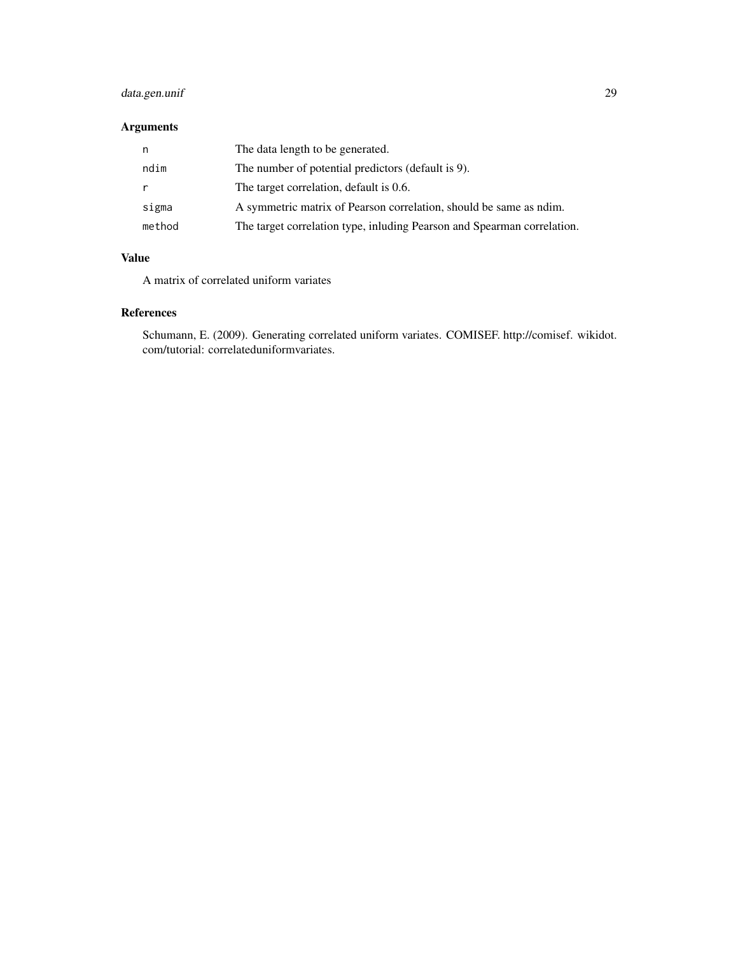# data.gen.unif 29

# Arguments

| n      | The data length to be generated.                                        |
|--------|-------------------------------------------------------------------------|
| ndim   | The number of potential predictors (default is 9).                      |
| r      | The target correlation, default is 0.6.                                 |
| sigma  | A symmetric matrix of Pearson correlation, should be same as ndim.      |
| method | The target correlation type, inluding Pearson and Spearman correlation. |

# Value

A matrix of correlated uniform variates

# References

Schumann, E. (2009). Generating correlated uniform variates. COMISEF. http://comisef. wikidot. com/tutorial: correlateduniformvariates.